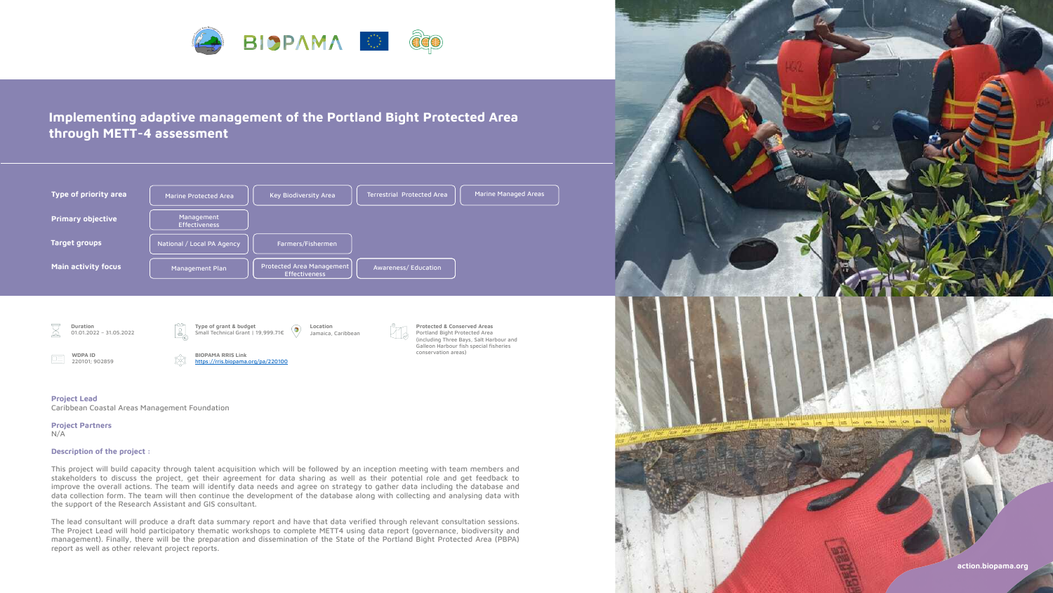

# **Implementing adaptive management of the Portland Bight Protected Area through METT-4 assessment**







#### **Project Lead**

Caribbean Coastal Areas Management Foundation

## **Project Partners**

N/A

# **Description of the project :**

This project will build capacity through talent acquisition which will be followed by an inception meeting with team members and stakeholders to discuss the project, get their agreement for data sharing as well as their potential role and get feedback to improve the overall actions. The team will identify data needs and agree on strategy to gather data including the database and data collection form. The team will then continue the development of the database along with collecting and analysing data with the support of the Research Assistant and GIS consultant.

The lead consultant will produce a draft data summary report and have that data verified through relevant consultation sessions. The Project Lead will hold participatory thematic workshops to complete METT4 using data report (governance, biodiversity and management). Finally, there will be the preparation and dissemination of the State of the Portland Bight Protected Area (PBPA) report as well as other relevant project reports.